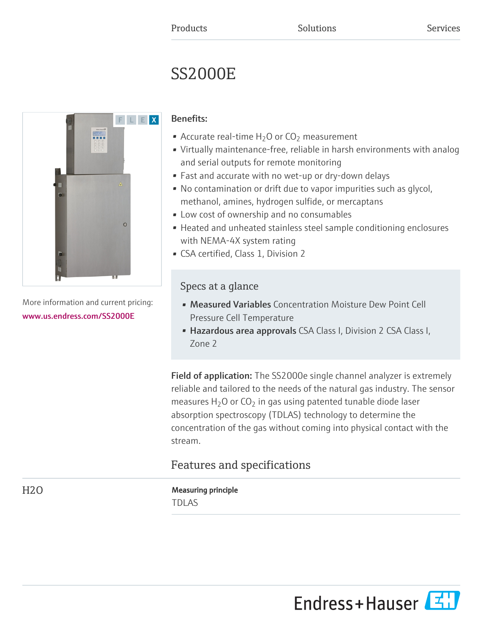# SS2000E



More information and current pricing: [www.us.endress.com/SS2000E](https://www.us.endress.com/SS2000E)

# Benefits:

- Accurate real-time  $H_2O$  or  $CO_2$  measurement
- Virtually maintenance-free, reliable in harsh environments with analog and serial outputs for remote monitoring
- Fast and accurate with no wet-up or dry-down delays
- No contamination or drift due to vapor impurities such as glycol, methanol, amines, hydrogen sulfide, or mercaptans
- Low cost of ownership and no consumables
- Heated and unheated stainless steel sample conditioning enclosures with NEMA-4X system rating
- CSA certified, Class 1, Division 2

# Specs at a glance

- Measured Variables Concentration Moisture Dew Point Cell Pressure Cell Temperature
- Hazardous area approvals CSA Class I, Division 2 CSA Class I, Zone 2

Field of application: The SS2000e single channel analyzer is extremely reliable and tailored to the needs of the natural gas industry. The sensor measures  $H_2O$  or  $CO_2$  in gas using patented tunable diode laser absorption spectroscopy (TDLAS) technology to determine the concentration of the gas without coming into physical contact with the stream.

# Features and specifications

H2O Measuring principle TDLAS

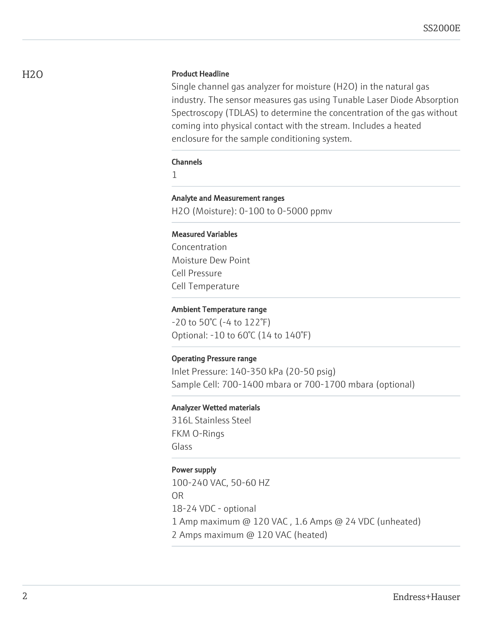# H<sub>2</sub>O Product Headline

Single channel gas analyzer for moisture (H2O) in the natural gas industry. The sensor measures gas using Tunable Laser Diode Absorption Spectroscopy (TDLAS) to determine the concentration of the gas without coming into physical contact with the stream. Includes a heated enclosure for the sample conditioning system.

#### **Channels**

1

Analyte and Measurement ranges H2O (Moisture): 0-100 to 0-5000 ppmv

#### Measured Variables

Concentration Moisture Dew Point Cell Pressure Cell Temperature

#### Ambient Temperature range

-20 to 50°C (-4 to 122°F) Optional: -10 to 60°C (14 to 140°F)

#### Operating Pressure range

Inlet Pressure: 140-350 kPa (20-50 psig) Sample Cell: 700-1400 mbara or 700-1700 mbara (optional)

#### Analyzer Wetted materials

316L Stainless Steel FKM O-Rings Glass

## Power supply

100-240 VAC, 50-60 HZ OR 18-24 VDC - optional 1 Amp maximum @ 120 VAC , 1.6 Amps @ 24 VDC (unheated) 2 Amps maximum @ 120 VAC (heated)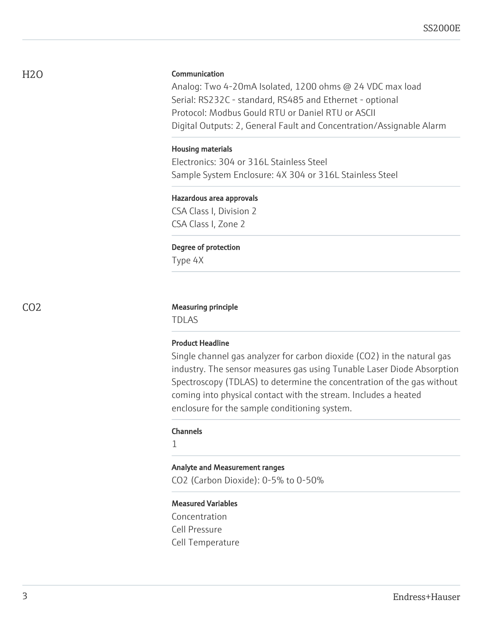# Communication

Analog: Two 4-20mA Isolated, 1200 ohms @ 24 VDC max load Serial: RS232C - standard, RS485 and Ethernet - optional Protocol: Modbus Gould RTU or Daniel RTU or ASCII Digital Outputs: 2, General Fault and Concentration/Assignable Alarm

#### Housing materials

Electronics: 304 or 316L Stainless Steel Sample System Enclosure: 4X 304 or 316L Stainless Steel

#### Hazardous area approvals

CSA Class I, Division 2 CSA Class I, Zone 2

#### Degree of protection

Type 4X

#### CO2 Measuring principle

TDLAS

#### Product Headline

Single channel gas analyzer for carbon dioxide (CO2) in the natural gas industry. The sensor measures gas using Tunable Laser Diode Absorption Spectroscopy (TDLAS) to determine the concentration of the gas without coming into physical contact with the stream. Includes a heated enclosure for the sample conditioning system.

#### Channels

1

## Analyte and Measurement ranges

CO2 (Carbon Dioxide): 0-5% to 0-50%

## Measured Variables

Concentration Cell Pressure Cell Temperature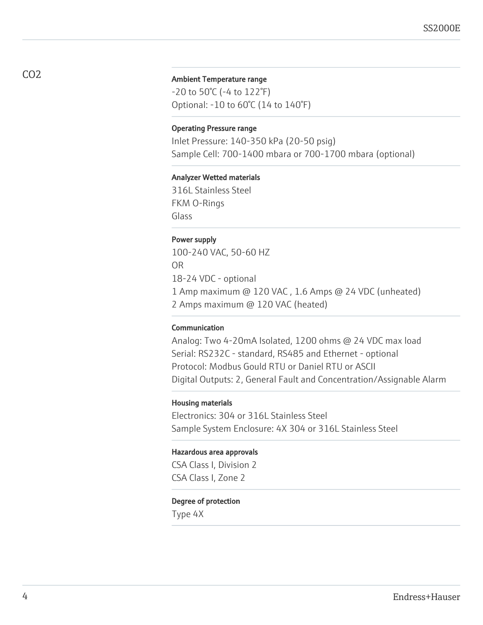#### Ambient Temperature range

-20 to 50°C (-4 to 122°F) Optional: -10 to 60°C (14 to 140°F)

#### Operating Pressure range

Inlet Pressure: 140-350 kPa (20-50 psig) Sample Cell: 700-1400 mbara or 700-1700 mbara (optional)

#### Analyzer Wetted materials

316L Stainless Steel FKM O-Rings Glass

#### Power supply

100-240 VAC, 50-60 HZ OR 18-24 VDC - optional 1 Amp maximum @ 120 VAC , 1.6 Amps @ 24 VDC (unheated) 2 Amps maximum @ 120 VAC (heated)

#### Communication

Analog: Two 4-20mA Isolated, 1200 ohms @ 24 VDC max load Serial: RS232C - standard, RS485 and Ethernet - optional Protocol: Modbus Gould RTU or Daniel RTU or ASCII Digital Outputs: 2, General Fault and Concentration/Assignable Alarm

#### Housing materials

Electronics: 304 or 316L Stainless Steel Sample System Enclosure: 4X 304 or 316L Stainless Steel

#### Hazardous area approvals

CSA Class I, Division 2 CSA Class I, Zone 2

#### Degree of protection

Type 4X